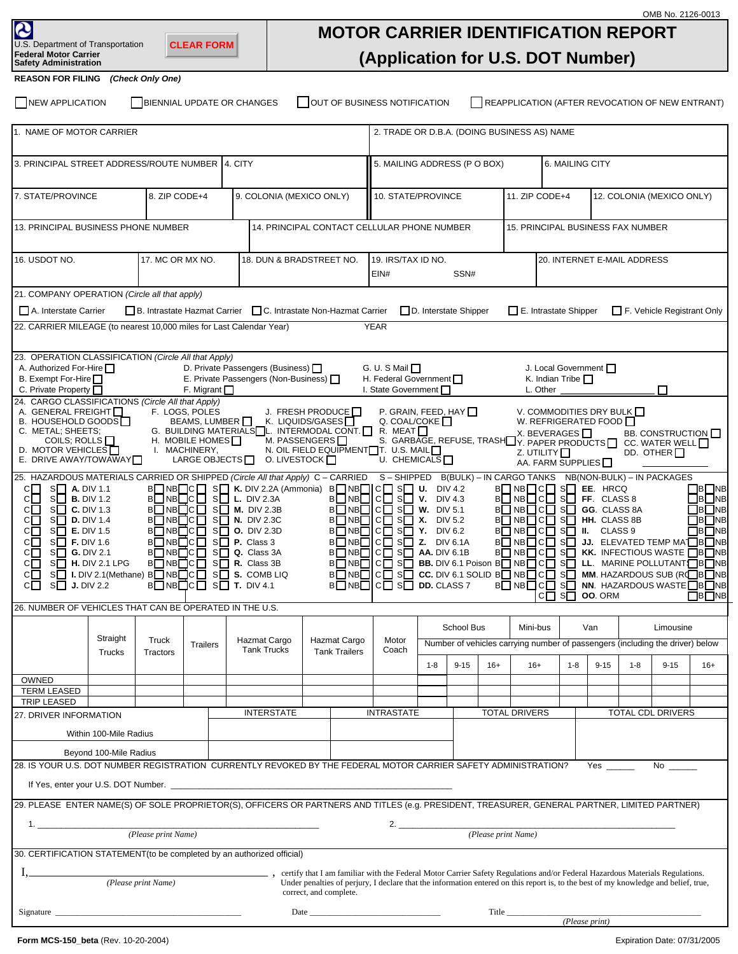| OMB No. 2126-0013<br>2<br><b>MOTOR CARRIER IDENTIFICATION REPORT</b><br>U.S. Department of Transportation<br><b>CLEAR FORM</b><br><b>Federal Motor Carrier</b><br>(Application for U.S. DOT Number)<br><b>Safety Administration</b>                                                                                                                                                                                                                                                                                                                                                                                                                                                                                                                                                                                                                                                                                                                                                                                                                                                                                                                                                                                                                                                                                                                                                                                                                                                                                                                                                                                                                                                                            |          |                  |                  |                                                                                                                                                                                                                                  |                                             |                    |                                             |            |                                               |                                             |                                                                                                                                     |         |                   |           |          |       |
|----------------------------------------------------------------------------------------------------------------------------------------------------------------------------------------------------------------------------------------------------------------------------------------------------------------------------------------------------------------------------------------------------------------------------------------------------------------------------------------------------------------------------------------------------------------------------------------------------------------------------------------------------------------------------------------------------------------------------------------------------------------------------------------------------------------------------------------------------------------------------------------------------------------------------------------------------------------------------------------------------------------------------------------------------------------------------------------------------------------------------------------------------------------------------------------------------------------------------------------------------------------------------------------------------------------------------------------------------------------------------------------------------------------------------------------------------------------------------------------------------------------------------------------------------------------------------------------------------------------------------------------------------------------------------------------------------------------|----------|------------------|------------------|----------------------------------------------------------------------------------------------------------------------------------------------------------------------------------------------------------------------------------|---------------------------------------------|--------------------|---------------------------------------------|------------|-----------------------------------------------|---------------------------------------------|-------------------------------------------------------------------------------------------------------------------------------------|---------|-------------------|-----------|----------|-------|
| <b>REASON FOR FILING</b>                                                                                                                                                                                                                                                                                                                                                                                                                                                                                                                                                                                                                                                                                                                                                                                                                                                                                                                                                                                                                                                                                                                                                                                                                                                                                                                                                                                                                                                                                                                                                                                                                                                                                       |          | (Check Only One) |                  |                                                                                                                                                                                                                                  |                                             |                    |                                             |            |                                               |                                             |                                                                                                                                     |         |                   |           |          |       |
| NEW APPLICATION<br>BIENNIAL UPDATE OR CHANGES<br><b>OUT OF BUSINESS NOTIFICATION</b><br>REAPPLICATION (AFTER REVOCATION OF NEW ENTRANT)                                                                                                                                                                                                                                                                                                                                                                                                                                                                                                                                                                                                                                                                                                                                                                                                                                                                                                                                                                                                                                                                                                                                                                                                                                                                                                                                                                                                                                                                                                                                                                        |          |                  |                  |                                                                                                                                                                                                                                  |                                             |                    |                                             |            |                                               |                                             |                                                                                                                                     |         |                   |           |          |       |
| 1. NAME OF MOTOR CARRIER                                                                                                                                                                                                                                                                                                                                                                                                                                                                                                                                                                                                                                                                                                                                                                                                                                                                                                                                                                                                                                                                                                                                                                                                                                                                                                                                                                                                                                                                                                                                                                                                                                                                                       |          |                  |                  |                                                                                                                                                                                                                                  |                                             |                    | 2. TRADE OR D.B.A. (DOING BUSINESS AS) NAME |            |                                               |                                             |                                                                                                                                     |         |                   |           |          |       |
| 3. PRINCIPAL STREET ADDRESS/ROUTE NUMBER 4. CITY                                                                                                                                                                                                                                                                                                                                                                                                                                                                                                                                                                                                                                                                                                                                                                                                                                                                                                                                                                                                                                                                                                                                                                                                                                                                                                                                                                                                                                                                                                                                                                                                                                                               |          |                  |                  |                                                                                                                                                                                                                                  |                                             |                    | 5. MAILING ADDRESS (P O BOX)                |            |                                               |                                             | 6. MAILING CITY                                                                                                                     |         |                   |           |          |       |
| 7. STATE/PROVINCE<br>8. ZIP CODE+4                                                                                                                                                                                                                                                                                                                                                                                                                                                                                                                                                                                                                                                                                                                                                                                                                                                                                                                                                                                                                                                                                                                                                                                                                                                                                                                                                                                                                                                                                                                                                                                                                                                                             |          |                  |                  | 9. COLONIA (MEXICO ONLY)                                                                                                                                                                                                         |                                             | 10. STATE/PROVINCE |                                             |            |                                               | 11. ZIP CODE+4<br>12. COLONIA (MEXICO ONLY) |                                                                                                                                     |         |                   |           |          |       |
| 13. PRINCIPAL BUSINESS PHONE NUMBER                                                                                                                                                                                                                                                                                                                                                                                                                                                                                                                                                                                                                                                                                                                                                                                                                                                                                                                                                                                                                                                                                                                                                                                                                                                                                                                                                                                                                                                                                                                                                                                                                                                                            |          |                  |                  |                                                                                                                                                                                                                                  | 14. PRINCIPAL CONTACT CELLULAR PHONE NUMBER |                    |                                             |            | 15. PRINCIPAL BUSINESS FAX NUMBER             |                                             |                                                                                                                                     |         |                   |           |          |       |
| 16. USDOT NO.                                                                                                                                                                                                                                                                                                                                                                                                                                                                                                                                                                                                                                                                                                                                                                                                                                                                                                                                                                                                                                                                                                                                                                                                                                                                                                                                                                                                                                                                                                                                                                                                                                                                                                  |          |                  | 17. MC OR MX NO. | 18. DUN & BRADSTREET NO.                                                                                                                                                                                                         |                                             |                    | 19. IRS/TAX ID NO.<br>EIN#<br>SSN#          |            |                                               |                                             | 20. INTERNET E-MAIL ADDRESS                                                                                                         |         |                   |           |          |       |
| 21. COMPANY OPERATION (Circle all that apply)                                                                                                                                                                                                                                                                                                                                                                                                                                                                                                                                                                                                                                                                                                                                                                                                                                                                                                                                                                                                                                                                                                                                                                                                                                                                                                                                                                                                                                                                                                                                                                                                                                                                  |          |                  |                  |                                                                                                                                                                                                                                  |                                             |                    |                                             |            |                                               |                                             |                                                                                                                                     |         |                   |           |          |       |
| B. Intrastate Hazmat Carrier<br>C. Intrastate Non-Hazmat Carrier<br>□ D. Interstate Shipper<br>E. Intrastate Shipper<br>A. Interstate Carrier<br>F. Vehicle Registrant Only                                                                                                                                                                                                                                                                                                                                                                                                                                                                                                                                                                                                                                                                                                                                                                                                                                                                                                                                                                                                                                                                                                                                                                                                                                                                                                                                                                                                                                                                                                                                    |          |                  |                  |                                                                                                                                                                                                                                  |                                             |                    |                                             |            |                                               |                                             |                                                                                                                                     |         |                   |           |          |       |
| 22. CARRIER MILEAGE (to nearest 10,000 miles for Last Calendar Year)<br><b>YEAR</b>                                                                                                                                                                                                                                                                                                                                                                                                                                                                                                                                                                                                                                                                                                                                                                                                                                                                                                                                                                                                                                                                                                                                                                                                                                                                                                                                                                                                                                                                                                                                                                                                                            |          |                  |                  |                                                                                                                                                                                                                                  |                                             |                    |                                             |            |                                               |                                             |                                                                                                                                     |         |                   |           |          |       |
| 23. OPERATION CLASSIFICATION (Circle All that Apply)<br>D. Private Passengers (Business)<br>A. Authorized For-Hire<br>G. U. S Mail $\Box$<br>B. Exempt For-Hire<br>E. Private Passengers (Non-Business) $\Box$<br>H. Federal Government                                                                                                                                                                                                                                                                                                                                                                                                                                                                                                                                                                                                                                                                                                                                                                                                                                                                                                                                                                                                                                                                                                                                                                                                                                                                                                                                                                                                                                                                        |          |                  |                  |                                                                                                                                                                                                                                  |                                             |                    |                                             |            | J. Local Government<br>K. Indian Tribe $\Box$ |                                             |                                                                                                                                     |         |                   |           |          |       |
| C. Private Property <sub>[1]</sub><br>I. State Government<br>F. Migrant $\Box$<br>L. Other<br>24. CARGO CLASSIFICATIONS (Circle All that Apply)                                                                                                                                                                                                                                                                                                                                                                                                                                                                                                                                                                                                                                                                                                                                                                                                                                                                                                                                                                                                                                                                                                                                                                                                                                                                                                                                                                                                                                                                                                                                                                |          |                  |                  |                                                                                                                                                                                                                                  |                                             |                    |                                             |            |                                               |                                             |                                                                                                                                     |         |                   |           |          |       |
| A. GENERAL FREIGHT<br>F. LOGS, POLES<br>P. GRAIN, FEED, HAY $\Box$<br>J. FRESH PRODUCE<br>V. COMMODITIES DRY BULK<br>W. REFRIGERATED FOOD<br>B. HOUSEHOLD GOODS□<br>BEAMS, LUMBER □<br>K. LIQUIDS/GASES $\Box$<br>Q. COAL/COKE $\Box$<br>G. BUILDING MATERIALS $\Box$ INTERMODAL CONT. $\Box$ R. MEAT $\Box$<br>C. METAL; SHEETS;<br>X. BEVERAGES $\Box$<br>BB. CONSTRUCTION I<br>COILS; ROLLS $\Box$<br>H. MOBILE HOMES <sup>[1]</sup><br>M. PASSENGERS $\Box$<br>S. GARBAGE, REFUSE, TRASHOW, PAPER PRODUCTS<br>CC. WATER WELL<br>D. MOTOR VEHICLES<br>I. MACHINERY,<br>N. OIL FIELD EQUIPMENT <sup>T</sup> . U.S. MAIL<br>Z. UTILITY $\Box$<br>DD. OTHER $\Box$<br>E. DRIVE AWAY/TOWAWAY<br>LARGE OBJECTS <sup>[]</sup><br>O. LIVESTOCK $\Box$<br>U. CHEMICALS $\square$<br>AA. FARM SUPPLIES                                                                                                                                                                                                                                                                                                                                                                                                                                                                                                                                                                                                                                                                                                                                                                                                                                                                                                               |          |                  |                  |                                                                                                                                                                                                                                  |                                             |                    |                                             |            |                                               |                                             |                                                                                                                                     |         |                   |           |          |       |
| 25. HAZARDOUS MATERIALS CARRIED OR SHIPPED (Circle All that Apply) C - CARRIED S - SHIPPED B(BULK) - IN CARGO TANKS NB(NON-BULK) - IN PACKAGES<br>$B\Box NB\Box C\Box SI$ K. DIV 2.2A (Ammonia) $B\Box NB\Box C\Box SI$ U.<br>$B\Box NB\Box$ C $\Box$ S $\Box$ EE. HRCQ<br>S <b>A.</b> DIV 1.1<br>DIV 4.2<br>CI I<br>cП<br>$S$ L. DIV 2.3A<br>B□NB□IC□ S□ V.<br>$B\Box NB\Box C\Box SI$ FF. CLASS 8<br>$S \Box$ <b>B.</b> DIV 1.2<br>B□NB□C□<br>DIV 4.3<br>B□NB□C□<br>$S$ M. DIV 2.3B<br>$B\Box NB\Box$ C $\Box$ S $\Box$ W. DIV 5.1<br>B R R C C S G G. CLASS 8A<br>cП<br>$S$ C. DIV 1.3<br>B□NB□C□<br>$S$ N. DIV 2.3C<br>$B\Box NB\Box$ C $\Box$ S $\Box$ X. DIV 5.2<br>$B\Box NB\Box C\Box SI$ HH. CLASS 8B<br>$C\Box$<br>$S$ D. DIV 1.4<br>B□NB□C□<br>$S$ O. DIV 2.3D<br>$B\Box NB\Box$ $C\Box SI$ Y. DIV 6.2<br>$B\Box NB\Box$ C $\Box$ S $\Box$ II. CLASS 9<br>CП<br>$S$ E. DIV 1.5<br>BONBOCO SO JJ. ELEVATED TEMP MA™DBONB<br>$c\square$<br>$B\Box NB\Box C\Box SI$ P. Class 3<br>$B\Box NB\Box$ $C\Box$ $S\Box$ <b>Z.</b> DIV 6.1A<br>$S$ F. DIV 1.6<br>BONBOCO SO Q. Class 3A<br>$B\Box NB\Box$ $C\Box SI\Box$ AA. DIV 6.1B<br><b>BONBOCO SO KK. INFECTIOUS WASTE OBONB</b><br>$C \Box$ S $\Box$ G. DIV 2.1<br>$B\overline{\Box}NB\overline{\Box}C\overline{\Box}S\overline{\Box}R.$ Class 3B<br>BONBOCO SO BB. DIV 6.1 Poison BONBOCO SO LL. MARINE POLLUTANTOBONB<br>C□ S□ H. DIV 2.1 LPG<br>BONBOC SO CC. DIV 6.1 SOLID BONBOC SO MM. HAZARDOUS SUB (RCBONB<br>C S S I. DIV 2.1 (Methane) B NB C S S S. COMB LIQ<br><b>BONBOCO SO NN. HAZARDOUS WASTE OBONB</b><br>$B\Box NB\Box C\Box SI$ T. DIV 4.1<br>B NB C C S DD. CLASS 7<br>$C \Box$ S $\Box$ J. DIV 2.2<br>$C \square$ S $\square$ 00.0RM |          |                  |                  |                                                                                                                                                                                                                                  |                                             |                    |                                             |            |                                               |                                             | $\Box$ B $\Box$ NB<br>$\Box$ B $\Box$ NB<br>$\Box$ B $\Box$ NB<br>$\Box$ B $\Box$ NB<br>$\Box$ B $\Box$ NB<br>$\Box$ B $\Box$ NB    |         |                   |           |          |       |
| 26. NUMBER OF VEHICLES THAT CAN BE OPERATED IN THE U.S.                                                                                                                                                                                                                                                                                                                                                                                                                                                                                                                                                                                                                                                                                                                                                                                                                                                                                                                                                                                                                                                                                                                                                                                                                                                                                                                                                                                                                                                                                                                                                                                                                                                        |          |                  |                  |                                                                                                                                                                                                                                  |                                             |                    |                                             |            |                                               |                                             |                                                                                                                                     |         |                   |           |          |       |
|                                                                                                                                                                                                                                                                                                                                                                                                                                                                                                                                                                                                                                                                                                                                                                                                                                                                                                                                                                                                                                                                                                                                                                                                                                                                                                                                                                                                                                                                                                                                                                                                                                                                                                                | Straight | Truck            |                  | Hazmat Cargo                                                                                                                                                                                                                     | Hazmat Cargo<br><b>Tank Trailers</b>        |                    | Motor                                       | School Bus |                                               |                                             | Mini-bus                                                                                                                            |         | Van               | Limousine |          |       |
|                                                                                                                                                                                                                                                                                                                                                                                                                                                                                                                                                                                                                                                                                                                                                                                                                                                                                                                                                                                                                                                                                                                                                                                                                                                                                                                                                                                                                                                                                                                                                                                                                                                                                                                | Trucks   | Tractors         | <b>Trailers</b>  | <b>Tank Trucks</b>                                                                                                                                                                                                               |                                             |                    | Coach                                       |            |                                               |                                             | Number of vehicles carrying number of passengers (including the driver) below                                                       |         |                   |           |          |       |
| OWNED                                                                                                                                                                                                                                                                                                                                                                                                                                                                                                                                                                                                                                                                                                                                                                                                                                                                                                                                                                                                                                                                                                                                                                                                                                                                                                                                                                                                                                                                                                                                                                                                                                                                                                          |          |                  |                  |                                                                                                                                                                                                                                  |                                             |                    |                                             | $1 - 8$    | $9 - 15$                                      | $16+$                                       | $16+$                                                                                                                               | $1 - 8$ | $9 - 15$          | $1 - 8$   | $9 - 15$ | $16+$ |
| <b>TERM LEASED</b><br>TRIP LEASED                                                                                                                                                                                                                                                                                                                                                                                                                                                                                                                                                                                                                                                                                                                                                                                                                                                                                                                                                                                                                                                                                                                                                                                                                                                                                                                                                                                                                                                                                                                                                                                                                                                                              |          |                  |                  |                                                                                                                                                                                                                                  |                                             |                    |                                             |            |                                               |                                             |                                                                                                                                     |         |                   |           |          |       |
| 27. DRIVER INFORMATION                                                                                                                                                                                                                                                                                                                                                                                                                                                                                                                                                                                                                                                                                                                                                                                                                                                                                                                                                                                                                                                                                                                                                                                                                                                                                                                                                                                                                                                                                                                                                                                                                                                                                         |          |                  |                  | <b>INTERSTATE</b>                                                                                                                                                                                                                |                                             |                    | <b>INTRASTATE</b>                           |            |                                               | <b>TOTAL DRIVERS</b>                        |                                                                                                                                     |         | TOTAL CDL DRIVERS |           |          |       |
| Within 100-Mile Radius                                                                                                                                                                                                                                                                                                                                                                                                                                                                                                                                                                                                                                                                                                                                                                                                                                                                                                                                                                                                                                                                                                                                                                                                                                                                                                                                                                                                                                                                                                                                                                                                                                                                                         |          |                  |                  |                                                                                                                                                                                                                                  |                                             |                    |                                             |            |                                               |                                             |                                                                                                                                     |         |                   |           |          |       |
| Beyond 100-Mile Radius                                                                                                                                                                                                                                                                                                                                                                                                                                                                                                                                                                                                                                                                                                                                                                                                                                                                                                                                                                                                                                                                                                                                                                                                                                                                                                                                                                                                                                                                                                                                                                                                                                                                                         |          |                  |                  |                                                                                                                                                                                                                                  |                                             |                    |                                             |            |                                               |                                             |                                                                                                                                     |         |                   |           |          |       |
| 28. IS YOUR U.S. DOT NUMBER REGISTRATION CURRENTLY REVOKED BY THE FEDERAL MOTOR CARRIER SAFETY ADMINISTRATION?<br><b>Yes</b><br>No $\qquad$<br>If Yes, enter your U.S. DOT Number. Letter and the second contract of the second contract of the second contract of the second contract of the second contract of the second contract of the second contract of the second con                                                                                                                                                                                                                                                                                                                                                                                                                                                                                                                                                                                                                                                                                                                                                                                                                                                                                                                                                                                                                                                                                                                                                                                                                                                                                                                                  |          |                  |                  |                                                                                                                                                                                                                                  |                                             |                    |                                             |            |                                               |                                             |                                                                                                                                     |         |                   |           |          |       |
| 29. PLEASE ENTER NAME(S) OF SOLE PROPRIETOR(S), OFFICERS OR PARTNERS AND TITLES (e.g. PRESIDENT, TREASURER, GENERAL PARTNER, LIMITED PARTNER)                                                                                                                                                                                                                                                                                                                                                                                                                                                                                                                                                                                                                                                                                                                                                                                                                                                                                                                                                                                                                                                                                                                                                                                                                                                                                                                                                                                                                                                                                                                                                                  |          |                  |                  |                                                                                                                                                                                                                                  |                                             |                    |                                             |            |                                               |                                             |                                                                                                                                     |         |                   |           |          |       |
| 1.<br>(Please print Name)<br>(Please print Name)                                                                                                                                                                                                                                                                                                                                                                                                                                                                                                                                                                                                                                                                                                                                                                                                                                                                                                                                                                                                                                                                                                                                                                                                                                                                                                                                                                                                                                                                                                                                                                                                                                                               |          |                  |                  |                                                                                                                                                                                                                                  |                                             |                    |                                             |            |                                               |                                             |                                                                                                                                     |         |                   |           |          |       |
| 30. CERTIFICATION STATEMENT (to be completed by an authorized official)                                                                                                                                                                                                                                                                                                                                                                                                                                                                                                                                                                                                                                                                                                                                                                                                                                                                                                                                                                                                                                                                                                                                                                                                                                                                                                                                                                                                                                                                                                                                                                                                                                        |          |                  |                  |                                                                                                                                                                                                                                  |                                             |                    |                                             |            |                                               |                                             |                                                                                                                                     |         |                   |           |          |       |
|                                                                                                                                                                                                                                                                                                                                                                                                                                                                                                                                                                                                                                                                                                                                                                                                                                                                                                                                                                                                                                                                                                                                                                                                                                                                                                                                                                                                                                                                                                                                                                                                                                                                                                                |          |                  |                  | (Please print Name) , certify that I am familiar with the Federal Motor Carrier Safety Regulations and/or Federal Hazardous Materials Regulations.<br>Under penalties of perjury, I declare that the information entered on this | correct, and complete.                      |                    |                                             |            |                                               |                                             | Under penalties of perjury, I declare that the information entered on this report is, to the best of my knowledge and belief, true, |         |                   |           |          |       |
| Signature                                                                                                                                                                                                                                                                                                                                                                                                                                                                                                                                                                                                                                                                                                                                                                                                                                                                                                                                                                                                                                                                                                                                                                                                                                                                                                                                                                                                                                                                                                                                                                                                                                                                                                      |          |                  |                  |                                                                                                                                                                                                                                  |                                             |                    |                                             |            |                                               |                                             |                                                                                                                                     |         |                   |           |          |       |
|                                                                                                                                                                                                                                                                                                                                                                                                                                                                                                                                                                                                                                                                                                                                                                                                                                                                                                                                                                                                                                                                                                                                                                                                                                                                                                                                                                                                                                                                                                                                                                                                                                                                                                                |          |                  |                  |                                                                                                                                                                                                                                  |                                             |                    |                                             |            |                                               |                                             |                                                                                                                                     |         |                   |           |          |       |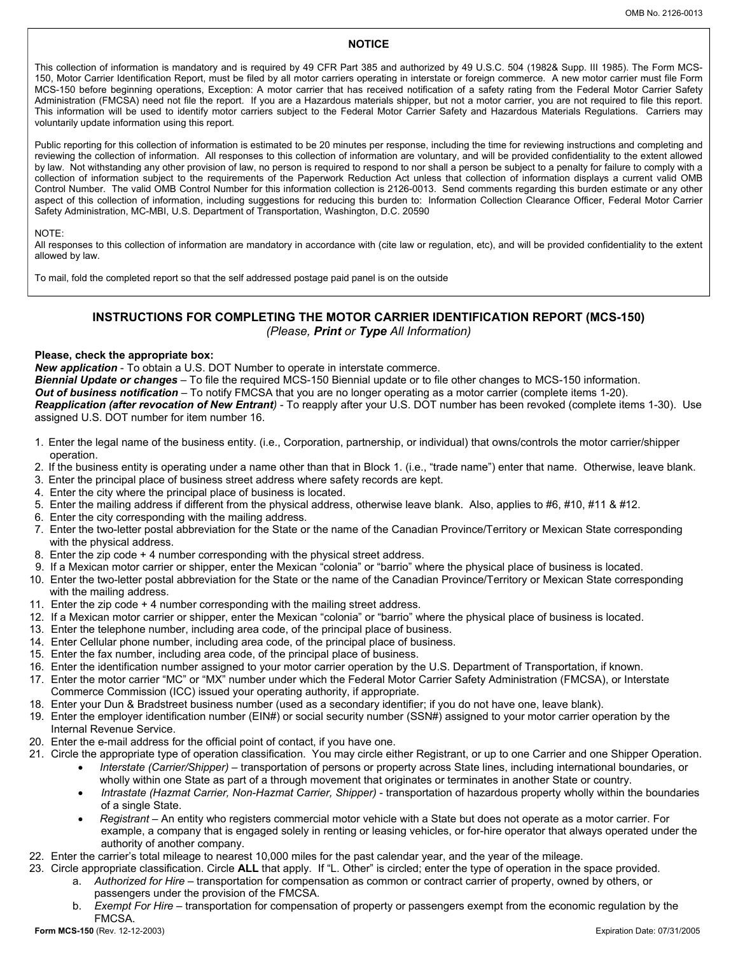### **NOTICE**

This collection of information is mandatory and is required by 49 CFR Part 385 and authorized by 49 U.S.C. 504 (1982& Supp. III 1985). The Form MCS-150, Motor Carrier Identification Report, must be filed by all motor carriers operating in interstate or foreign commerce. A new motor carrier must file Form MCS-150 before beginning operations, Exception: A motor carrier that has received notification of a safety rating from the Federal Motor Carrier Safety Administration (FMCSA) need not file the report. If you are a Hazardous materials shipper, but not a motor carrier, you are not required to file this report. This information will be used to identify motor carriers subject to the Federal Motor Carrier Safety and Hazardous Materials Regulations. Carriers may voluntarily update information using this report.

Public reporting for this collection of information is estimated to be 20 minutes per response, including the time for reviewing instructions and completing and reviewing the collection of information. All responses to this collection of information are voluntary, and will be provided confidentiality to the extent allowed by law. Not withstanding any other provision of law, no person is required to respond to nor shall a person be subject to a penalty for failure to comply with a collection of information subject to the requirements of the Paperwork Reduction Act unless that collection of information displays a current valid OMB Control Number. The valid OMB Control Number for this information collection is 2126-0013. Send comments regarding this burden estimate or any other aspect of this collection of information, including suggestions for reducing this burden to: Information Collection Clearance Officer, Federal Motor Carrier Safety Administration, MC-MBI, U.S. Department of Transportation, Washington, D.C. 20590

### NOTE:

All responses to this collection of information are mandatory in accordance with (cite law or regulation, etc), and will be provided confidentiality to the extent allowed by law.

To mail, fold the completed report so that the self addressed postage paid panel is on the outside

## **INSTRUCTIONS FOR COMPLETING THE MOTOR CARRIER IDENTIFICATION REPORT (MCS-150)**  *(Please, Print or Type All Information)*

### **Please, check the appropriate box:**

*New application* - To obtain a U.S. DOT Number to operate in interstate commerce.

*Biennial Update or changes* – To file the required MCS-150 Biennial update or to file other changes to MCS-150 information. *Out of business notification* – To notify FMCSA that you are no longer operating as a motor carrier (complete items 1-20). *Reapplication (after revocation of New Entrant)* - To reapply after your U.S. DOT number has been revoked (complete items 1-30). Use assigned U.S. DOT number for item number 16.

- 1. Enter the legal name of the business entity. (i.e., Corporation, partnership, or individual) that owns/controls the motor carrier/shipper operation.
- 2. If the business entity is operating under a name other than that in Block 1. (i.e., "trade name") enter that name. Otherwise, leave blank.
- 3. Enter the principal place of business street address where safety records are kept.
- 4. Enter the city where the principal place of business is located.
- 5. Enter the mailing address if different from the physical address, otherwise leave blank. Also, applies to #6, #10, #11 & #12.
- 6. Enter the city corresponding with the mailing address.
- 7. Enter the two-letter postal abbreviation for the State or the name of the Canadian Province/Territory or Mexican State corresponding with the physical address.
- 8. Enter the zip code + 4 number corresponding with the physical street address.
- 9. If a Mexican motor carrier or shipper, enter the Mexican "colonia" or "barrio" where the physical place of business is located.
- 10. Enter the two-letter postal abbreviation for the State or the name of the Canadian Province/Territory or Mexican State corresponding with the mailing address.
- 11. Enter the zip code + 4 number corresponding with the mailing street address.
- 12. If a Mexican motor carrier or shipper, enter the Mexican "colonia" or "barrio" where the physical place of business is located.
- 13. Enter the telephone number, including area code, of the principal place of business.
- 14. Enter Cellular phone number, including area code, of the principal place of business.
- 15. Enter the fax number, including area code, of the principal place of business.
- 16. Enter the identification number assigned to your motor carrier operation by the U.S. Department of Transportation, if known.
- 17. Enter the motor carrier "MC" or "MX" number under which the Federal Motor Carrier Safety Administration (FMCSA), or Interstate Commerce Commission (ICC) issued your operating authority, if appropriate.
- 18. Enter your Dun & Bradstreet business number (used as a secondary identifier; if you do not have one, leave blank).
- 19. Enter the employer identification number (EIN#) or social security number (SSN#) assigned to your motor carrier operation by the Internal Revenue Service.
- 20. Enter the e-mail address for the official point of contact, if you have one.
- 21. Circle the appropriate type of operation classification. You may circle either Registrant, or up to one Carrier and one Shipper Operation. • *Interstate (Carrier/Shipper)* – transportation of persons or property across State lines, including international boundaries, or wholly within one State as part of a through movement that originates or terminates in another State or country.
	- *Intrastate (Hazmat Carrier, Non-Hazmat Carrier, Shipper)* transportation of hazardous property wholly within the boundaries of a single State.
	- *Registrant* An entity who registers commercial motor vehicle with a State but does not operate as a motor carrier. For example, a company that is engaged solely in renting or leasing vehicles, or for-hire operator that always operated under the authority of another company.
- 22. Enter the carrier's total mileage to nearest 10,000 miles for the past calendar year, and the year of the mileage.
- 23. Circle appropriate classification. Circle **ALL** that apply. If "L. Other" is circled; enter the type of operation in the space provided. a. *Authorized for Hire* – transportation for compensation as common or contract carrier of property, owned by others, or passengers under the provision of the FMCSA.
	- b. *Exempt For Hire* transportation for compensation of property or passengers exempt from the economic regulation by the FMCSA.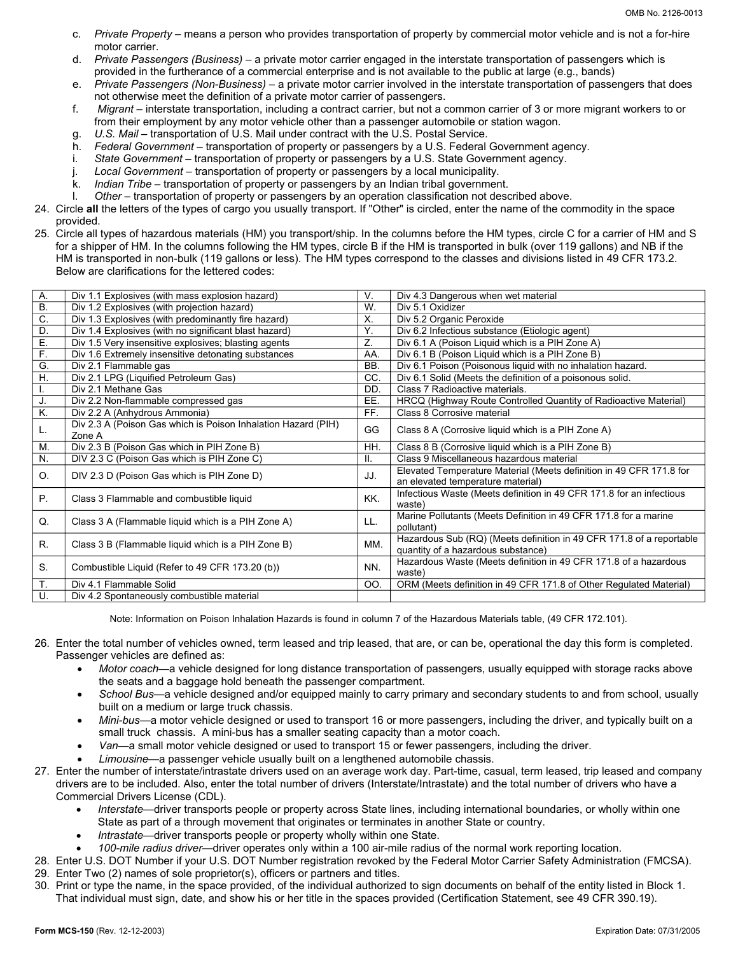- c. *Private Property* means a person who provides transportation of property by commercial motor vehicle and is not a for-hire motor carrier.
- d. *Private Passengers (Business)*  a private motor carrier engaged in the interstate transportation of passengers which is provided in the furtherance of a commercial enterprise and is not available to the public at large (e.g., bands)
- e. *Private Passengers (Non-Business)*  a private motor carrier involved in the interstate transportation of passengers that does not otherwise meet the definition of a private motor carrier of passengers.
- f. *Migrant*  interstate transportation, including a contract carrier, but not a common carrier of 3 or more migrant workers to or from their employment by any motor vehicle other than a passenger automobile or station wagon.
- g. *U.S. Mail transportation of U.S. Mail under contract with the U.S. Postal Service.*
- h. *Federal Government*  transportation of property or passengers by a U.S. Federal Government agency.
- i. *State Government* transportation of property or passengers by a U.S. State Government agency.
- j. *Local Government*  transportation of property or passengers by a local municipality.
- k. *Indian Tribe*  transportation of property or passengers by an Indian tribal government.
- l. Other transportation of property or passengers by an operation classification not described above.
- 24. Circle **all** the letters of the types of cargo you usually transport. If "Other" is circled, enter the name of the commodity in the space provided.
- 25. Circle all types of hazardous materials (HM) you transport/ship. In the columns before the HM types, circle C for a carrier of HM and S for a shipper of HM. In the columns following the HM types, circle B if the HM is transported in bulk (over 119 gallons) and NB if the HM is transported in non-bulk (119 gallons or less). The HM types correspond to the classes and divisions listed in 49 CFR 173.2. Below are clarifications for the lettered codes:

| A.               | Div 1.1 Explosives (with mass explosion hazard)                         | V.  | Div 4.3 Dangerous when wet material                                            |
|------------------|-------------------------------------------------------------------------|-----|--------------------------------------------------------------------------------|
| $\overline{B}$ . | Div 1.2 Explosives (with projection hazard)                             | W.  | Div 5.1 Oxidizer                                                               |
| C.               | Div 1.3 Explosives (with predominantly fire hazard)                     | Х.  | Div 5.2 Organic Peroxide                                                       |
| D.               | Div 1.4 Explosives (with no significant blast hazard)                   | Ÿ.  | Div 6.2 Infectious substance (Etiologic agent)                                 |
| E.               | Div 1.5 Very insensitive explosives; blasting agents                    | Z.  | Div 6.1 A (Poison Liquid which is a PIH Zone A)                                |
| F.               | Div 1.6 Extremely insensitive detonating substances                     | AA. | Div 6.1 B (Poison Liquid which is a PIH Zone B)                                |
| G.               | Div 2.1 Flammable gas                                                   | BB. | Div 6.1 Poison (Poisonous liquid with no inhalation hazard.                    |
| Η.               | Div 2.1 LPG (Liquified Petroleum Gas)                                   | CC. | Div 6.1 Solid (Meets the definition of a poisonous solid.                      |
| Τ.               | Div 2.1 Methane Gas                                                     | DD. | Class 7 Radioactive materials.                                                 |
| J.               | Div 2.2 Non-flammable compressed gas                                    | EE. | HRCQ (Highway Route Controlled Quantity of Radioactive Material)               |
| Κ.               | Div 2.2 A (Anhydrous Ammonia)                                           | FF. | Class 8 Corrosive material                                                     |
| L.               | Div 2.3 A (Poison Gas which is Poison Inhalation Hazard (PIH)<br>Zone A | GG  | Class 8 A (Corrosive liquid which is a PIH Zone A)                             |
| М.               | Div 2.3 B (Poison Gas which in PIH Zone B)                              | HH. | Class 8 B (Corrosive liquid which is a PIH Zone B)                             |
| N.               | DIV 2.3 C (Poison Gas which is PIH Zone C)                              | Ш.  | Class 9 Miscellaneous hazardous material                                       |
|                  |                                                                         |     | Elevated Temperature Material (Meets definition in 49 CFR 171.8 for            |
| O.               | DIV 2.3 D (Poison Gas which is PIH Zone D)                              | JJ. | an elevated temperature material)                                              |
| P.               | Class 3 Flammable and combustible liquid                                | KK. | Infectious Waste (Meets definition in 49 CFR 171.8 for an infectious           |
|                  |                                                                         |     | waste)                                                                         |
| Q.               | Class 3 A (Flammable liquid which is a PIH Zone A)                      | LL. | Marine Pollutants (Meets Definition in 49 CFR 171.8 for a marine<br>pollutant) |
| R.               | Class 3 B (Flammable liquid which is a PIH Zone B)                      | MM. | Hazardous Sub (RQ) (Meets definition in 49 CFR 171.8 of a reportable           |
|                  |                                                                         |     | quantity of a hazardous substance)                                             |
| S.               | Combustible Liquid (Refer to 49 CFR 173.20 (b))                         | NN. | Hazardous Waste (Meets definition in 49 CFR 171.8 of a hazardous<br>waste)     |
| T.               | Div 4.1 Flammable Solid                                                 | OO. | ORM (Meets definition in 49 CFR 171.8 of Other Regulated Material)             |
| U.               | Div 4.2 Spontaneously combustible material                              |     |                                                                                |

Note: Information on Poison Inhalation Hazards is found in column 7 of the Hazardous Materials table, (49 CFR 172.101).

- 26. Enter the total number of vehicles owned, term leased and trip leased, that are, or can be, operational the day this form is completed. Passenger vehicles are defined as:
	- *Motor coach*—a vehicle designed for long distance transportation of passengers, usually equipped with storage racks above the seats and a baggage hold beneath the passenger compartment.
	- *School Bus*—a vehicle designed and/or equipped mainly to carry primary and secondary students to and from school, usually built on a medium or large truck chassis.
	- *Mini-bus*—a motor vehicle designed or used to transport 16 or more passengers, including the driver, and typically built on a small truck chassis. A mini-bus has a smaller seating capacity than a motor coach.
	- *Van*—a small motor vehicle designed or used to transport 15 or fewer passengers, including the driver.
	- *Limousine*—a passenger vehicle usually built on a lengthened automobile chassis.
- 27. Enter the number of interstate/intrastate drivers used on an average work day. Part-time, casual, term leased, trip leased and company drivers are to be included. Also, enter the total number of drivers (Interstate/Intrastate) and the total number of drivers who have a Commercial Drivers License (CDL).
	- *Interstate*—driver transports people or property across State lines, including international boundaries, or wholly within one State as part of a through movement that originates or terminates in another State or country.
	- *Intrastate*—driver transports people or property wholly within one State.
	- *100-mile radius driver*—driver operates only within a 100 air-mile radius of the normal work reporting location.
- 28. Enter U.S. DOT Number if your U.S. DOT Number registration revoked by the Federal Motor Carrier Safety Administration (FMCSA). 29. Enter Two (2) names of sole proprietor(s), officers or partners and titles.
- 30. Print or type the name, in the space provided, of the individual authorized to sign documents on behalf of the entity listed in Block 1. That individual must sign, date, and show his or her title in the spaces provided (Certification Statement, see 49 CFR 390.19).